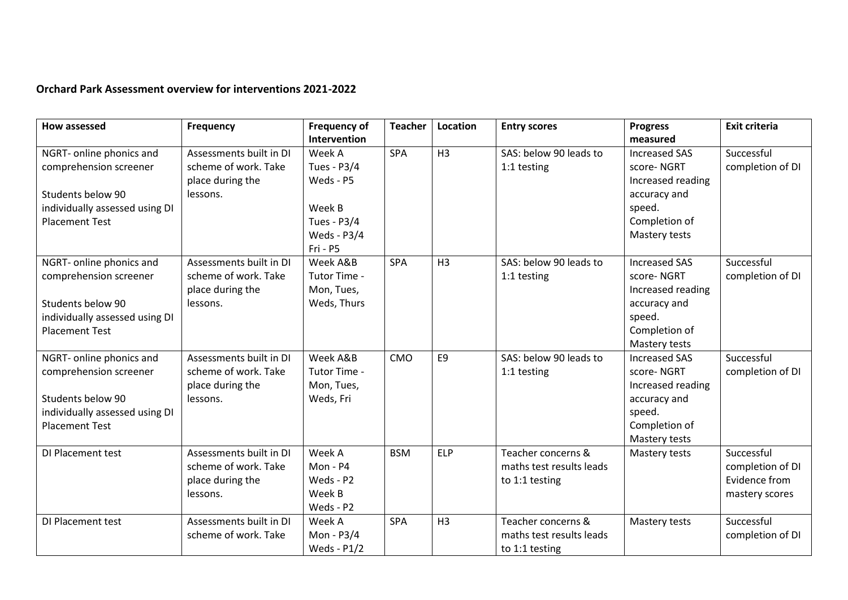## **Orchard Park Assessment overview for interventions 2021-2022**

| <b>How assessed</b>            | Frequency               | <b>Frequency of</b> | <b>Teacher</b> | Location       | <b>Entry scores</b>      | <b>Progress</b>      | <b>Exit criteria</b> |
|--------------------------------|-------------------------|---------------------|----------------|----------------|--------------------------|----------------------|----------------------|
|                                |                         | Intervention        |                |                |                          | measured             |                      |
| NGRT- online phonics and       | Assessments built in DI | Week A              | <b>SPA</b>     | H <sub>3</sub> | SAS: below 90 leads to   | <b>Increased SAS</b> | Successful           |
| comprehension screener         | scheme of work. Take    | Tues - P3/4         |                |                | 1:1 testing              | score-NGRT           | completion of DI     |
|                                | place during the        | Weds - P5           |                |                |                          | Increased reading    |                      |
| Students below 90              | lessons.                |                     |                |                |                          | accuracy and         |                      |
| individually assessed using DI |                         | Week B              |                |                |                          | speed.               |                      |
| <b>Placement Test</b>          |                         | Tues - P3/4         |                |                |                          | Completion of        |                      |
|                                |                         | Weds - P3/4         |                |                |                          | Mastery tests        |                      |
|                                |                         | Fri - P5            |                |                |                          |                      |                      |
| NGRT- online phonics and       | Assessments built in DI | Week A&B            | <b>SPA</b>     | H <sub>3</sub> | SAS: below 90 leads to   | <b>Increased SAS</b> | Successful           |
| comprehension screener         | scheme of work. Take    | Tutor Time -        |                |                | 1:1 testing              | score-NGRT           | completion of DI     |
|                                | place during the        | Mon, Tues,          |                |                |                          | Increased reading    |                      |
| Students below 90              | lessons.                | Weds, Thurs         |                |                |                          | accuracy and         |                      |
| individually assessed using DI |                         |                     |                |                |                          | speed.               |                      |
| <b>Placement Test</b>          |                         |                     |                |                |                          | Completion of        |                      |
|                                |                         |                     |                |                |                          | Mastery tests        |                      |
| NGRT- online phonics and       | Assessments built in DI | Week A&B            | CMO            | E <sub>9</sub> | SAS: below 90 leads to   | <b>Increased SAS</b> | Successful           |
| comprehension screener         | scheme of work. Take    | Tutor Time -        |                |                | 1:1 testing              | score-NGRT           | completion of DI     |
|                                | place during the        | Mon, Tues,          |                |                |                          | Increased reading    |                      |
| Students below 90              | lessons.                | Weds, Fri           |                |                |                          | accuracy and         |                      |
| individually assessed using DI |                         |                     |                |                |                          | speed.               |                      |
| <b>Placement Test</b>          |                         |                     |                |                |                          | Completion of        |                      |
|                                |                         |                     |                |                |                          | Mastery tests        |                      |
| DI Placement test              | Assessments built in DI | Week A              | <b>BSM</b>     | <b>ELP</b>     | Teacher concerns &       | Mastery tests        | Successful           |
|                                | scheme of work. Take    | Mon - P4            |                |                | maths test results leads |                      | completion of DI     |
|                                | place during the        | Weds - P2           |                |                | to 1:1 testing           |                      | Evidence from        |
|                                | lessons.                | Week B              |                |                |                          |                      | mastery scores       |
|                                |                         | Weds - P2           |                |                |                          |                      |                      |
| DI Placement test              | Assessments built in DI | Week A              | <b>SPA</b>     | H <sub>3</sub> | Teacher concerns &       | Mastery tests        | Successful           |
|                                | scheme of work. Take    | Mon - P3/4          |                |                | maths test results leads |                      | completion of DI     |
|                                |                         | Weds - $P1/2$       |                |                | to 1:1 testing           |                      |                      |